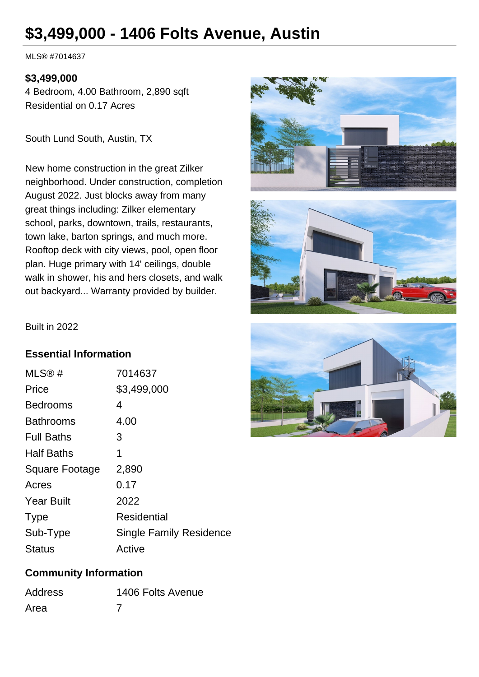# **\$3,499,000 - 1406 Folts Avenue, Austin**

MLS® #7014637

#### **\$3,499,000**

4 Bedroom, 4.00 Bathroom, 2,890 sqft Residential on 0.17 Acres

South Lund South, Austin, TX

New home construction in the great Zilker neighborhood. Under construction, completion August 2022. Just blocks away from many great things including: Zilker elementary school, parks, downtown, trails, restaurants, town lake, barton springs, and much more. Rooftop deck with city views, pool, open floor plan. Huge primary with 14' ceilings, double walk in shower, his and hers closets, and walk out backyard... Warranty provided by builder.





Built in 2022

#### **Essential Information**

| MLS®#                 | 7014637                        |
|-----------------------|--------------------------------|
| Price                 | \$3,499,000                    |
| <b>Bedrooms</b>       | 4                              |
| <b>Bathrooms</b>      | 4.00                           |
| <b>Full Baths</b>     | З                              |
| <b>Half Baths</b>     | 1                              |
| <b>Square Footage</b> | 2,890                          |
| Acres                 | 0.17                           |
| <b>Year Built</b>     | 2022                           |
| <b>Type</b>           | Residential                    |
| Sub-Type              | <b>Single Family Residence</b> |
| <b>Status</b>         | Active                         |

#### **Community Information**

| <b>Address</b> | 1406 Folts Avenue |
|----------------|-------------------|
| Area           |                   |

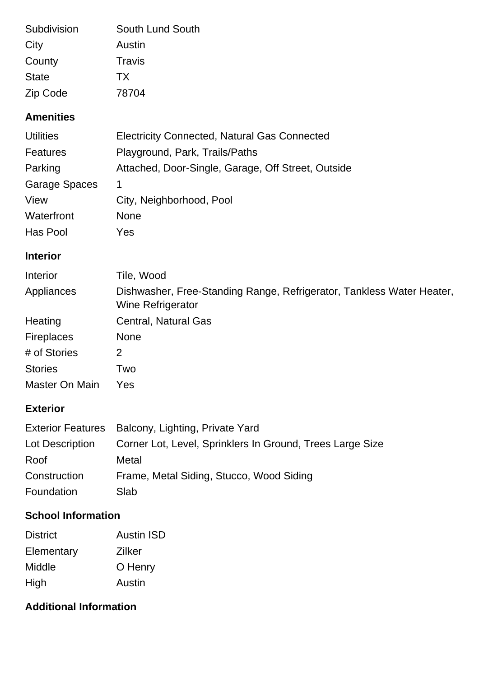| Subdivision  | South Lund South |
|--------------|------------------|
| City         | Austin           |
| County       | Travis           |
| <b>State</b> | <b>TX</b>        |
| Zip Code     | 78704            |

### **Amenities**

| <b>Utilities</b>     | <b>Electricity Connected, Natural Gas Connected</b> |
|----------------------|-----------------------------------------------------|
| <b>Features</b>      | Playground, Park, Trails/Paths                      |
| Parking              | Attached, Door-Single, Garage, Off Street, Outside  |
| <b>Garage Spaces</b> | 1                                                   |
| View                 | City, Neighborhood, Pool                            |
| Waterfront           | <b>None</b>                                         |
| Has Pool             | Yes                                                 |

# **Interior**

| Interior          | Tile, Wood                                                                                 |
|-------------------|--------------------------------------------------------------------------------------------|
| Appliances        | Dishwasher, Free-Standing Range, Refrigerator, Tankless Water Heater,<br>Wine Refrigerator |
| Heating           | <b>Central, Natural Gas</b>                                                                |
| <b>Fireplaces</b> | <b>None</b>                                                                                |
| # of Stories      | 2                                                                                          |
| <b>Stories</b>    | Two                                                                                        |
| Master On Main    | Yes                                                                                        |

### **Exterior**

|                 | Exterior Features Balcony, Lighting, Private Yard         |
|-----------------|-----------------------------------------------------------|
| Lot Description | Corner Lot, Level, Sprinklers In Ground, Trees Large Size |
| Roof            | Metal                                                     |
| Construction    | Frame, Metal Siding, Stucco, Wood Siding                  |
| Foundation      | Slab                                                      |

# **School Information**

| <b>District</b> | <b>Austin ISD</b> |
|-----------------|-------------------|
| Elementary      | Zilker            |
| Middle          | O Henry           |
| High            | Austin            |

# **Additional Information**